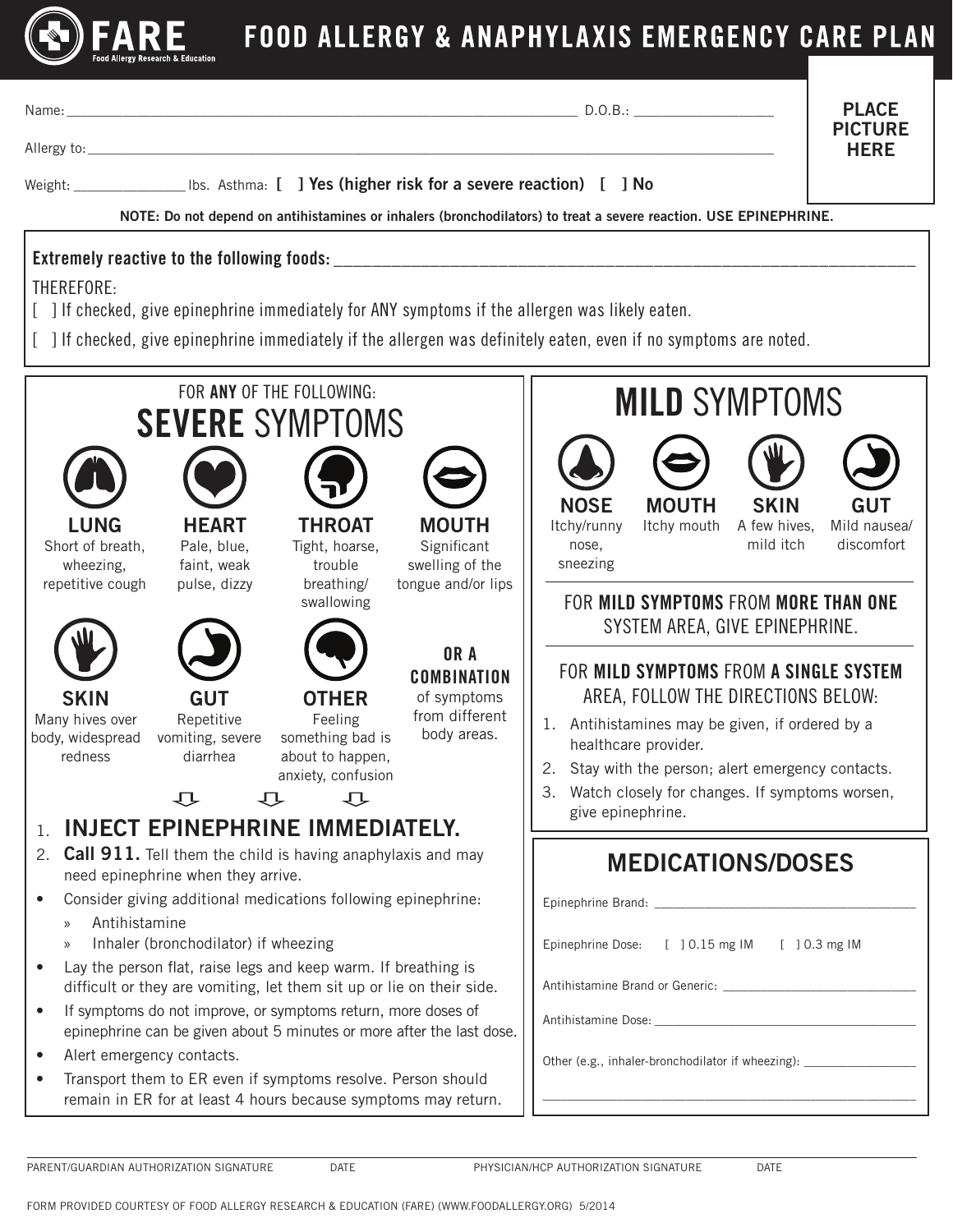

Name: \_\_\_\_\_\_\_\_\_\_\_\_\_\_\_\_\_\_\_\_\_\_\_\_\_\_\_\_\_\_\_\_\_\_\_\_\_\_\_\_\_\_\_\_\_\_\_\_\_\_\_\_\_\_\_\_\_\_\_\_\_\_\_\_\_\_\_\_\_\_\_\_\_ D.O.B.: \_\_\_\_\_\_\_\_\_\_\_\_\_\_\_\_\_\_\_\_

PLACE PICTURE **HFRF** 

Allergy to:\_\_\_\_\_\_\_\_\_\_\_\_\_\_\_\_\_\_\_\_\_\_\_\_\_\_\_\_\_\_\_\_\_\_\_\_\_\_\_\_\_\_\_\_\_\_\_\_\_\_\_\_\_\_\_\_\_\_\_\_\_\_\_\_\_\_\_\_\_\_\_\_\_\_\_\_\_\_\_\_\_\_\_\_\_\_\_\_\_\_\_\_\_\_\_\_\_\_

Weight: University Liberal Integrals (Integrals of the severe reaction) [ ] No

NOTE: Do not depend on antihistamines or inhalers (bronchodilators) to treat a severe reaction. USE EPINEPHRINE.

## Extremely reactive to the following foods:

THEREFORE:

- [ ] If checked, give epinephrine immediately for ANY symptoms if the allergen was likely eaten.
- [ ] If checked, give epinephrine immediately if the allergen was definitely eaten, even if no symptoms are noted.